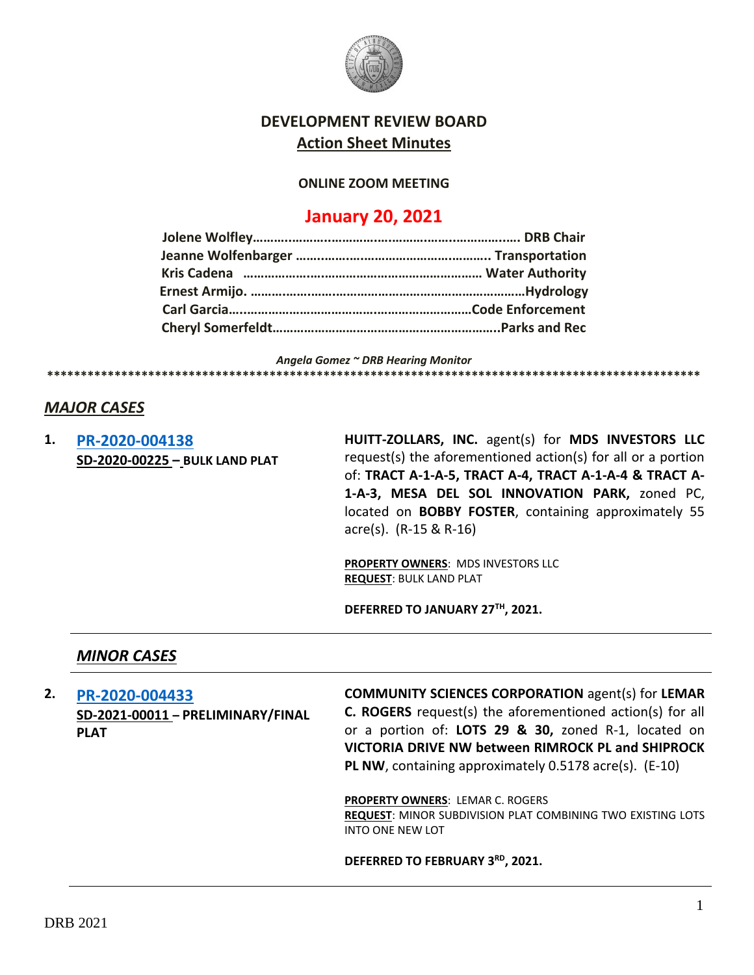

## **DEVELOPMENT REVIEW BOARD Action Sheet Minutes**

#### **ONLINE ZOOM MEETING**

# **January 20, 2021**

*Angela Gomez ~ DRB Hearing Monitor* **\*\*\*\*\*\*\*\*\*\*\*\*\*\*\*\*\*\*\*\*\*\*\*\*\*\*\*\*\*\*\*\*\*\*\*\*\*\*\*\*\*\*\*\*\*\*\*\*\*\*\*\*\*\*\*\*\*\*\*\*\*\*\*\*\*\*\*\*\*\*\*\*\*\*\*\*\*\*\*\*\*\*\*\*\*\*\*\*\*\*\*\*\*\*\*\*\***

### *MAJOR CASES*

**1. [PR-2020-004138](http://data.cabq.gov/government/planning/DRB/PR-2020-004138/DRB%20Submittals/PR-2020-004138_Jan_27_2021/Bulk%20Plat%20Submittal%2030Dec20%20Reduced%20File%20Size.pdf) SD-2020-00225 – BULK LAND PLAT** **HUITT-ZOLLARS, INC.** agent(s) for **MDS INVESTORS LLC** request(s) the aforementioned action(s) for all or a portion of: **TRACT A-1-A-5, TRACT A-4, TRACT A-1-A-4 & TRACT A-1-A-3, MESA DEL SOL INNOVATION PARK,** zoned PC, located on **BOBBY FOSTER**, containing approximately 55 acre(s). (R-15 & R-16)

**PROPERTY OWNERS**: MDS INVESTORS LLC **REQUEST**: BULK LAND PLAT

**DEFERRED TO JANUARY 27TH, 2021.**

#### *MINOR CASES*

**2. [PR-2020-004433](http://data.cabq.gov/government/planning/DRB/PR-2020-004433/DRB%20Submittals/) SD-2021-00011 – PRELIMINARY/FINAL PLAT**

**COMMUNITY SCIENCES CORPORATION** agent(s) for **LEMAR C. ROGERS** request(s) the aforementioned action(s) for all or a portion of: **LOTS 29 & 30,** zoned R-1, located on **VICTORIA DRIVE NW between RIMROCK PL and SHIPROCK PL NW**, containing approximately 0.5178 acre(s). (E-10)

**PROPERTY OWNERS**: LEMAR C. ROGERS **REQUEST**: MINOR SUBDIVISION PLAT COMBINING TWO EXISTING LOTS INTO ONE NEW LOT

**DEFERRED TO FEBRUARY 3RD, 2021.**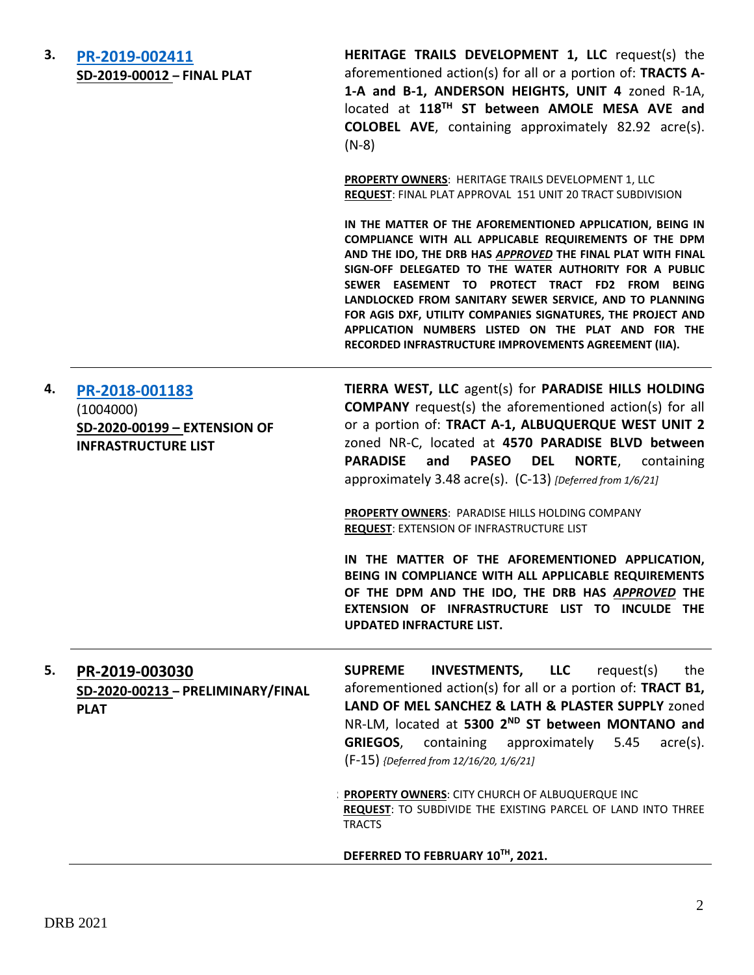| 3. | PR-2019-002411             |
|----|----------------------------|
|    | SD-2019-00012 - FINAL PLAT |

**HERITAGE TRAILS DEVELOPMENT 1, LLC** request(s) the aforementioned action(s) for all or a portion of: **TRACTS A-1-A and B-1, ANDERSON HEIGHTS, UNIT 4** zoned R-1A, located at **118TH ST between AMOLE MESA AVE and COLOBEL AVE**, containing approximately 82.92 acre(s). (N-8)

**PROPERTY OWNERS**: HERITAGE TRAILS DEVELOPMENT 1, LLC **REQUEST**: FINAL PLAT APPROVAL 151 UNIT 20 TRACT SUBDIVISION

**IN THE MATTER OF THE AFOREMENTIONED APPLICATION, BEING IN COMPLIANCE WITH ALL APPLICABLE REQUIREMENTS OF THE DPM AND THE IDO, THE DRB HAS** *APPROVED* **THE FINAL PLAT WITH FINAL SIGN-OFF DELEGATED TO THE WATER AUTHORITY FOR A PUBLIC SEWER EASEMENT TO PROTECT TRACT FD2 FROM BEING LANDLOCKED FROM SANITARY SEWER SERVICE, AND TO PLANNING FOR AGIS DXF, UTILITY COMPANIES SIGNATURES, THE PROJECT AND APPLICATION NUMBERS LISTED ON THE PLAT AND FOR THE RECORDED INFRASTRUCTURE IMPROVEMENTS AGREEMENT (IIA).**

### **4. [PR-2018-001183](http://data.cabq.gov/government/planning/DRB/PR-2018-001183/DRB%20Submittals/)**  (1004000) **SD-2020-00199 – EXTENSION OF INFRASTRUCTURE LIST**

**TIERRA WEST, LLC** agent(s) for **PARADISE HILLS HOLDING COMPANY** request(s) the aforementioned action(s) for all or a portion of: **TRACT A-1, ALBUQUERQUE WEST UNIT 2**  zoned NR-C, located at **4570 PARADISE BLVD between PARADISE and PASEO DEL NORTE**, containing approximately 3.48 acre(s). (C-13) *[Deferred from 1/6/21]*

**PROPERTY OWNERS**: PARADISE HILLS HOLDING COMPANY **REQUEST**: EXTENSION OF INFRASTRUCTURE LIST

**IN THE MATTER OF THE AFOREMENTIONED APPLICATION, BEING IN COMPLIANCE WITH ALL APPLICABLE REQUIREMENTS OF THE DPM AND THE IDO, THE DRB HAS** *APPROVED* **THE EXTENSION OF INFRASTRUCTURE LIST TO INCULDE THE UPDATED INFRACTURE LIST.**

### **5. [PR-2019-003030](http://data.cabq.gov/government/planning/DRB/PR-2019-003030/DRB%20Submittals/) SD-2020-00213 – PRELIMINARY/FINAL PLAT**

**SUPREME INVESTMENTS, LLC** request(s) the aforementioned action(s) for all or a portion of: **TRACT B1, LAND OF MEL SANCHEZ & LATH & PLASTER SUPPLY** zoned NR-LM, located at **5300 2ND ST between MONTANO and GRIEGOS**, containing approximately 5.45 acre(s). (F-15) *{Deferred from 12/16/20, 1/6/21]*

**PROPERTY OWNERS: CITY CHURCH OF ALBUQUERQUE INC REQUEST**: TO SUBDIVIDE THE EXISTING PARCEL OF LAND INTO THREE TRACTS

#### **DEFERRED TO FEBRUARY 10TH, 2021.**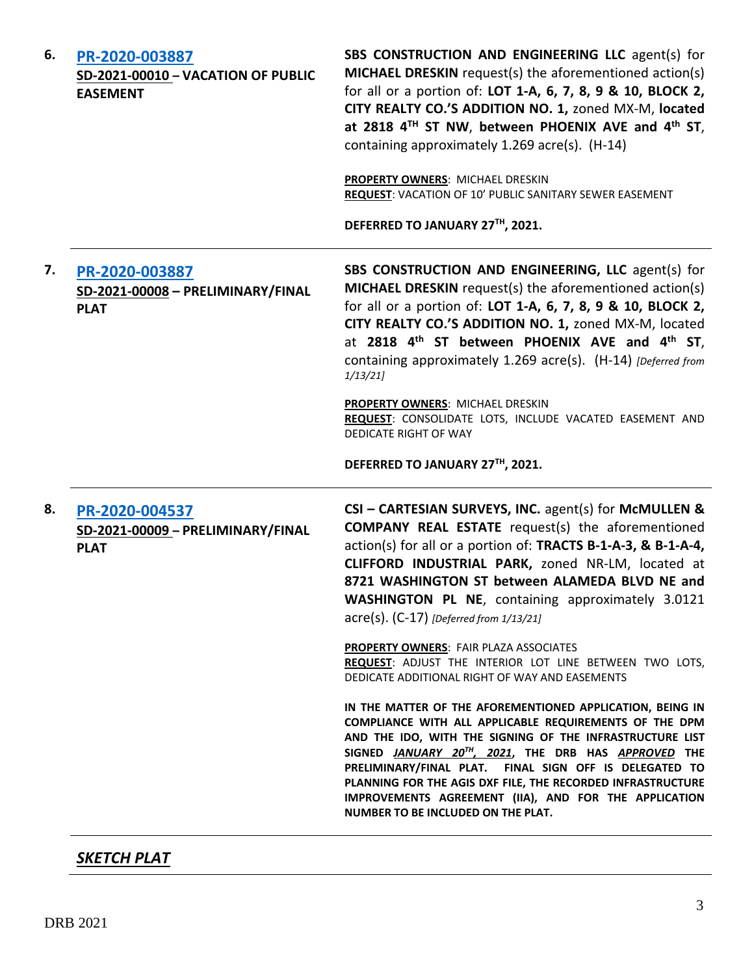| 6. | PR-2020-003887<br><b>SD-2021-00010 - VACATION OF PUBLIC</b><br><b>EASEMENT</b> | SBS CONSTRUCTION AND ENGINEERING LLC agent(s) for<br>MICHAEL DRESKIN request(s) the aforementioned action(s)<br>for all or a portion of: LOT 1-A, 6, 7, 8, 9 & 10, BLOCK 2,<br>CITY REALTY CO.'S ADDITION NO. 1, zoned MX-M, located<br>at 2818 4 <sup>TH</sup> ST NW, between PHOENIX AVE and 4 <sup>th</sup> ST,<br>containing approximately 1.269 acre(s). (H-14)                                                                                           |
|----|--------------------------------------------------------------------------------|----------------------------------------------------------------------------------------------------------------------------------------------------------------------------------------------------------------------------------------------------------------------------------------------------------------------------------------------------------------------------------------------------------------------------------------------------------------|
|    |                                                                                | PROPERTY OWNERS: MICHAEL DRESKIN<br>REQUEST: VACATION OF 10' PUBLIC SANITARY SEWER EASEMENT                                                                                                                                                                                                                                                                                                                                                                    |
|    |                                                                                | DEFERRED TO JANUARY 27TH, 2021.                                                                                                                                                                                                                                                                                                                                                                                                                                |
| 7. | PR-2020-003887<br>SD-2021-00008 - PRELIMINARY/FINAL<br><b>PLAT</b>             | SBS CONSTRUCTION AND ENGINEERING, LLC agent(s) for<br>MICHAEL DRESKIN request(s) the aforementioned action(s)<br>for all or a portion of: LOT 1-A, 6, 7, 8, 9 & 10, BLOCK 2,<br>CITY REALTY CO.'S ADDITION NO. 1, zoned MX-M, located<br>at 2818 4 <sup>th</sup> ST between PHOENIX AVE and 4 <sup>th</sup> ST,<br>containing approximately 1.269 acre(s). (H-14) [Deferred from<br>1/13/21                                                                    |
|    |                                                                                | PROPERTY OWNERS: MICHAEL DRESKIN<br>REQUEST: CONSOLIDATE LOTS, INCLUDE VACATED EASEMENT AND<br><b>DEDICATE RIGHT OF WAY</b>                                                                                                                                                                                                                                                                                                                                    |
|    |                                                                                | DEFERRED TO JANUARY 27TH, 2021.                                                                                                                                                                                                                                                                                                                                                                                                                                |
| 8. | PR-2020-004537<br>SD-2021-00009 - PRELIMINARY/FINAL<br><b>PLAT</b>             | CSI - CARTESIAN SURVEYS, INC. agent(s) for McMULLEN &<br><b>COMPANY REAL ESTATE</b> request(s) the aforementioned<br>action(s) for all or a portion of: TRACTS B-1-A-3, & B-1-A-4,<br>CLIFFORD INDUSTRIAL PARK, zoned NR-LM, located at<br>8721 WASHINGTON ST between ALAMEDA BLVD NE and<br><b>WASHINGTON PL NE, containing approximately 3.0121</b><br>$\text{acre}(s)$ . (C-17) [Deferred from 1/13/21]                                                     |
|    |                                                                                | <b>PROPERTY OWNERS: FAIR PLAZA ASSOCIATES</b><br>REQUEST: ADJUST THE INTERIOR LOT LINE BETWEEN TWO LOTS,<br>DEDICATE ADDITIONAL RIGHT OF WAY AND EASEMENTS                                                                                                                                                                                                                                                                                                     |
|    |                                                                                | IN THE MATTER OF THE AFOREMENTIONED APPLICATION, BEING IN<br>COMPLIANCE WITH ALL APPLICABLE REQUIREMENTS OF THE DPM<br>AND THE IDO, WITH THE SIGNING OF THE INFRASTRUCTURE LIST<br>SIGNED JANUARY 20TH, 2021, THE DRB HAS APPROVED THE<br>PRELIMINARY/FINAL PLAT. FINAL SIGN OFF IS DELEGATED TO<br>PLANNING FOR THE AGIS DXF FILE, THE RECORDED INFRASTRUCTURE<br>IMPROVEMENTS AGREEMENT (IIA), AND FOR THE APPLICATION<br>NUMBER TO BE INCLUDED ON THE PLAT. |

## *SKETCH PLAT*